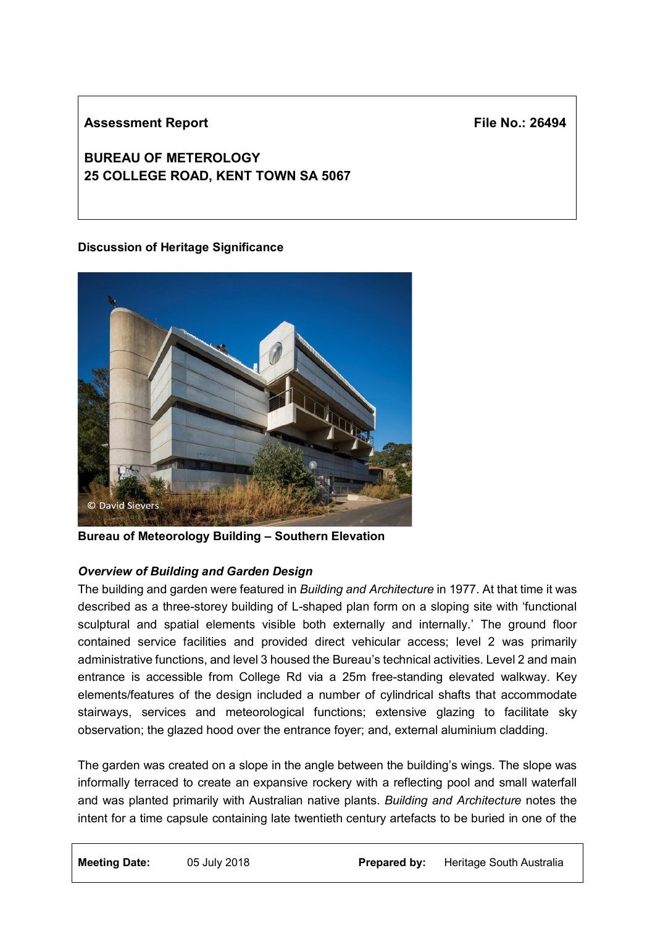### **Assessment Report**

**File No.: 26494**

# **BUREAU OF METEROLOGY 25 COLLEGE ROAD, KENT TOWN SA 5067**

### **Discussion of Heritage Significance**



**Bureau of Meteorology Building – Southern Elevation**

### *Overview of Building and Garden Design*

The building and garden were featured in *Building and Architecture* in 1977. At that time it was described as a three-storey building of L-shaped plan form on a sloping site with 'functional sculptural and spatial elements visible both externally and internally.' The ground floor contained service facilities and provided direct vehicular access; level 2 was primarily administrative functions, and level 3 housed the Bureau's technical activities. Level 2 and main entrance is accessible from College Rd via a 25m free-standing elevated walkway. Key elements/features of the design included a number of cylindrical shafts that accommodate stairways, services and meteorological functions; extensive glazing to facilitate sky observation; the glazed hood over the entrance foyer; and, external aluminium cladding.

The garden was created on a slope in the angle between the building's wings. The slope was informally terraced to create an expansive rockery with a reflecting pool and small waterfall and was planted primarily with Australian native plants. *Building and Architecture* notes the intent for a time capsule containing late twentieth century artefacts to be buried in one of the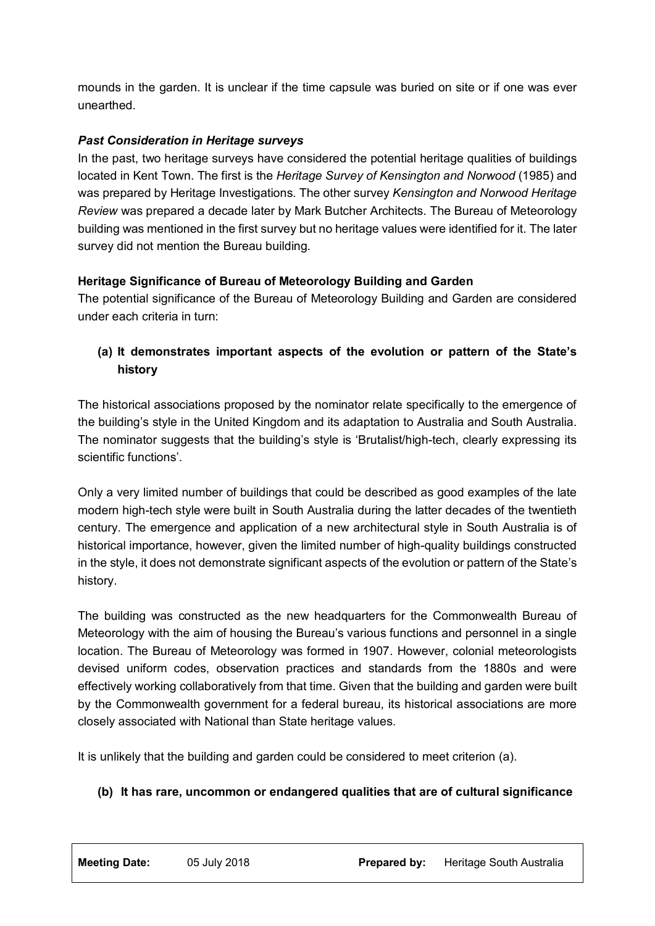mounds in the garden. It is unclear if the time capsule was buried on site or if one was ever unearthed.

### *Past Consideration in Heritage surveys*

In the past, two heritage surveys have considered the potential heritage qualities of buildings located in Kent Town. The first is the *Heritage Survey of Kensington and Norwood* (1985) and was prepared by Heritage Investigations. The other survey *Kensington and Norwood Heritage Review* was prepared a decade later by Mark Butcher Architects. The Bureau of Meteorology building was mentioned in the first survey but no heritage values were identified for it. The later survey did not mention the Bureau building.

### **Heritage Significance of Bureau of Meteorology Building and Garden**

The potential significance of the Bureau of Meteorology Building and Garden are considered under each criteria in turn:

## **(a) It demonstrates important aspects of the evolution or pattern of the State's history**

The historical associations proposed by the nominator relate specifically to the emergence of the building's style in the United Kingdom and its adaptation to Australia and South Australia. The nominator suggests that the building's style is 'Brutalist/high-tech, clearly expressing its scientific functions'.

Only a very limited number of buildings that could be described as good examples of the late modern high-tech style were built in South Australia during the latter decades of the twentieth century. The emergence and application of a new architectural style in South Australia is of historical importance, however, given the limited number of high-quality buildings constructed in the style, it does not demonstrate significant aspects of the evolution or pattern of the State's history.

The building was constructed as the new headquarters for the Commonwealth Bureau of Meteorology with the aim of housing the Bureau's various functions and personnel in a single location. The Bureau of Meteorology was formed in 1907. However, colonial meteorologists devised uniform codes, observation practices and standards from the 1880s and were effectively working collaboratively from that time. Given that the building and garden were built by the Commonwealth government for a federal bureau, its historical associations are more closely associated with National than State heritage values.

It is unlikely that the building and garden could be considered to meet criterion (a).

#### **(b) It has rare, uncommon or endangered qualities that are of cultural significance**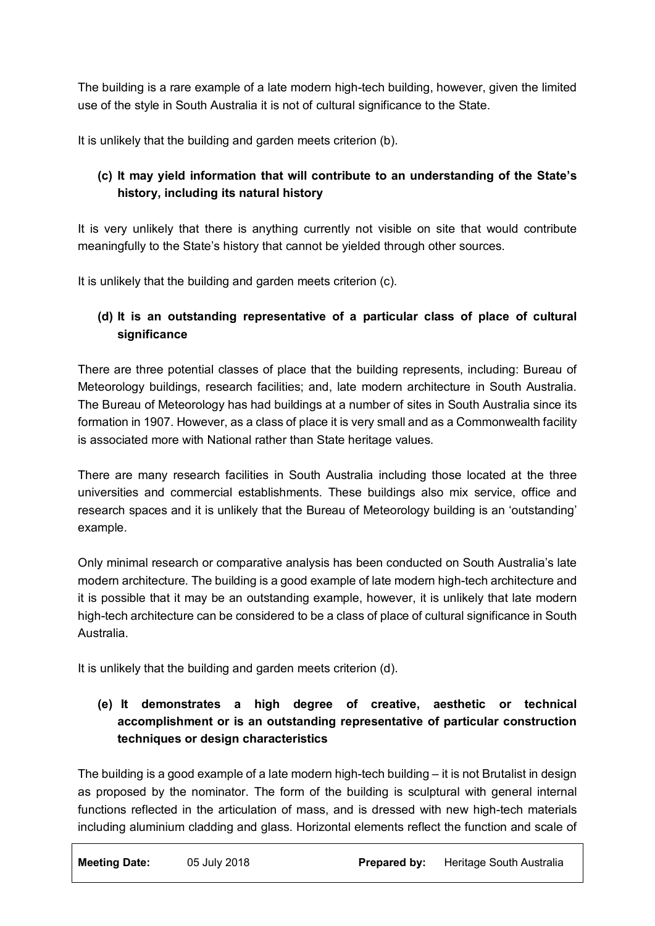The building is a rare example of a late modern high-tech building, however, given the limited use of the style in South Australia it is not of cultural significance to the State.

It is unlikely that the building and garden meets criterion (b).

# **(c) It may yield information that will contribute to an understanding of the State's history, including its natural history**

It is very unlikely that there is anything currently not visible on site that would contribute meaningfully to the State's history that cannot be yielded through other sources.

It is unlikely that the building and garden meets criterion (c).

## **(d) It is an outstanding representative of a particular class of place of cultural significance**

There are three potential classes of place that the building represents, including: Bureau of Meteorology buildings, research facilities; and, late modern architecture in South Australia. The Bureau of Meteorology has had buildings at a number of sites in South Australia since its formation in 1907. However, as a class of place it is very small and as a Commonwealth facility is associated more with National rather than State heritage values.

There are many research facilities in South Australia including those located at the three universities and commercial establishments. These buildings also mix service, office and research spaces and it is unlikely that the Bureau of Meteorology building is an 'outstanding' example.

Only minimal research or comparative analysis has been conducted on South Australia's late modern architecture. The building is a good example of late modern high-tech architecture and it is possible that it may be an outstanding example, however, it is unlikely that late modern high-tech architecture can be considered to be a class of place of cultural significance in South Australia.

It is unlikely that the building and garden meets criterion (d).

## **(e) It demonstrates a high degree of creative, aesthetic or technical accomplishment or is an outstanding representative of particular construction techniques or design characteristics**

The building is a good example of a late modern high-tech building – it is not Brutalist in design as proposed by the nominator. The form of the building is sculptural with general internal functions reflected in the articulation of mass, and is dressed with new high-tech materials including aluminium cladding and glass. Horizontal elements reflect the function and scale of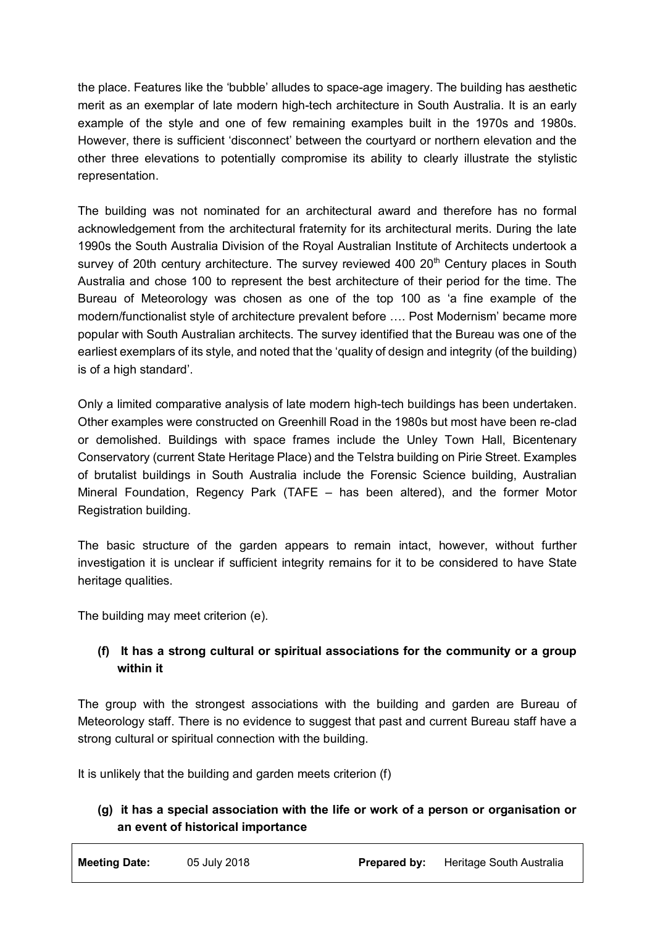the place. Features like the 'bubble' alludes to space-age imagery. The building has aesthetic merit as an exemplar of late modern high-tech architecture in South Australia. It is an early example of the style and one of few remaining examples built in the 1970s and 1980s. However, there is sufficient 'disconnect' between the courtyard or northern elevation and the other three elevations to potentially compromise its ability to clearly illustrate the stylistic representation.

The building was not nominated for an architectural award and therefore has no formal acknowledgement from the architectural fraternity for its architectural merits. During the late 1990s the South Australia Division of the Royal Australian Institute of Architects undertook a survey of 20th century architecture. The survey reviewed 400 20<sup>th</sup> Century places in South Australia and chose 100 to represent the best architecture of their period for the time. The Bureau of Meteorology was chosen as one of the top 100 as 'a fine example of the modern/functionalist style of architecture prevalent before …. Post Modernism' became more popular with South Australian architects. The survey identified that the Bureau was one of the earliest exemplars of its style, and noted that the 'quality of design and integrity (of the building) is of a high standard'.

Only a limited comparative analysis of late modern high-tech buildings has been undertaken. Other examples were constructed on Greenhill Road in the 1980s but most have been re-clad or demolished. Buildings with space frames include the Unley Town Hall, Bicentenary Conservatory (current State Heritage Place) and the Telstra building on Pirie Street. Examples of brutalist buildings in South Australia include the Forensic Science building, Australian Mineral Foundation, Regency Park (TAFE – has been altered), and the former Motor Registration building.

The basic structure of the garden appears to remain intact, however, without further investigation it is unclear if sufficient integrity remains for it to be considered to have State heritage qualities.

The building may meet criterion (e).

### **(f) It has a strong cultural or spiritual associations for the community or a group within it**

The group with the strongest associations with the building and garden are Bureau of Meteorology staff. There is no evidence to suggest that past and current Bureau staff have a strong cultural or spiritual connection with the building.

It is unlikely that the building and garden meets criterion (f)

### **(g) it has a special association with the life or work of a person or organisation or an event of historical importance**

**Meeting Date:** 05 July 2018 **Prepared by:** Heritage South Australia